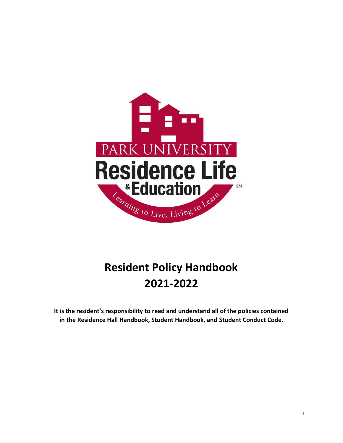

# **Resident Policy Handbook 2021-2022**

**It is the resident's responsibility to read and understand all of the policies contained in the Residence Hall Handbook, Student Handbook, and Student Conduct Code.**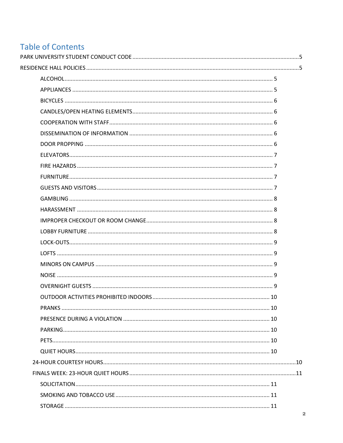# **Table of Contents**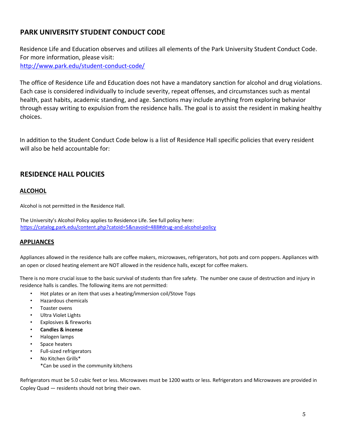# <span id="page-4-0"></span>**PARK UNIVERSITY STUDENT CONDUCT CODE**

Residence Life and Education observes and utilizes all elements of the Park University Student Conduct Code. For more information, please visit: <http://www.park.edu/student-conduct-code/>

The office of Residence Life and Education does not have a mandatory sanction for alcohol and drug violations. Each case is considered individually to include severity, repeat offenses, and circumstances such as mental health, past habits, academic standing, and age. Sanctions may include anything from exploring behavior through essay writing to expulsion from the residence halls. The goal is to assist the resident in making healthy choices.

In addition to the Student Conduct Code below is a list of Residence Hall specific policies that every resident will also be held accountable for:

# <span id="page-4-1"></span>**RESIDENCE HALL POLICIES**

# <span id="page-4-2"></span>**ALCOHOL**

Alcohol is not permitted in the Residence Hall.

The University's Alcohol Policy applies to Residence Life. See full policy here: <https://catalog.park.edu/content.php?catoid=5&navoid=488#drug-and-alcohol-policy>

# <span id="page-4-3"></span>**APPLIANCES**

Appliances allowed in the residence halls are coffee makers, microwaves, refrigerators, hot pots and corn poppers. Appliances with an open or closed heating element are NOT allowed in the residence halls, except for coffee makers.

There is no more crucial issue to the basic survival of students than fire safety. The number one cause of destruction and injury in residence halls is candles. The following items are not permitted:

- Hot plates or an item that uses a heating/immersion coil/Stove Tops
- Hazardous chemicals
- Toaster ovens
- Ultra Violet Lights
- Explosives & fireworks
- **Candles & incense**
- Halogen lamps
- Space heaters
- Full-sized refrigerators
- No Kitchen Grills\* \*Can be used in the community kitchens

Refrigerators must be 5.0 cubic feet or less. Microwaves must be 1200 watts or less. Refrigerators and Microwaves are provided in Copley Quad — residents should not bring their own.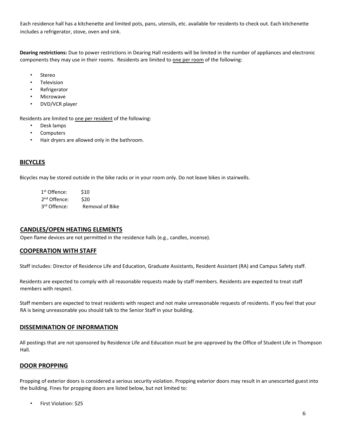Each residence hall has a kitchenette and limited pots, pans, utensils, etc. available for residents to check out. Each kitchenette includes a refrigerator, stove, oven and sink.

**Dearing restrictions:** Due to power restrictions in Dearing Hall residents will be limited in the number of appliances and electronic components they may use in their rooms. Residents are limited to one per room of the following:

- **Stereo**
- **Television**
- **Refrigerator**
- **Microwave**
- DVD/VCR player

Residents are limited to one per resident of the following:

- Desk lamps
- **Computers**
- Hair dryers are allowed only in the bathroom.

#### <span id="page-5-0"></span>**BICYCLES**

Bicycles may be stored outside in the bike racks or in your room only. Do not leave bikes in stairwells.

| 1 <sup>st</sup> Offence: | \$10                   |
|--------------------------|------------------------|
| 2 <sup>nd</sup> Offence: | \$20                   |
| 3 <sup>rd</sup> Offence: | <b>Removal of Bike</b> |

#### <span id="page-5-1"></span>**CANDLES/OPEN HEATING ELEMENTS**

Open flame devices are not permitted in the residence halls (e.g., candles, incense).

#### <span id="page-5-2"></span>**COOPERATION WITH STAFF**

Staff includes: Director of Residence Life and Education, Graduate Assistants, Resident Assistant (RA) and Campus Safety staff.

Residents are expected to comply with all reasonable requests made by staff members. Residents are expected to treat staff members with respect.

Staff members are expected to treat residents with respect and not make unreasonable requests of residents. If you feel that your RA is being unreasonable you should talk to the Senior Staff in your building.

#### <span id="page-5-3"></span>**DISSEMINATION OF INFORMATION**

All postings that are not sponsored by Residence Life and Education must be pre-approved by the Office of Student Life in Thompson Hall.

# <span id="page-5-4"></span>**DOOR PROPPING**

Propping of exterior doors is considered a serious security violation. Propping exterior doors may result in an unescorted guest into the building. Fines for propping doors are listed below, but not limited to:

• First Violation: \$25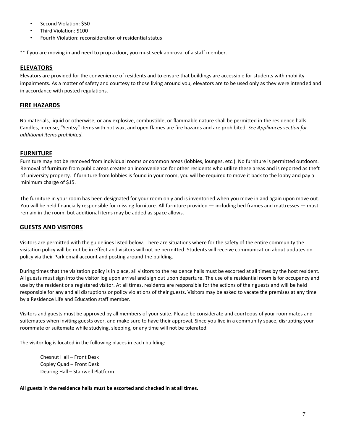- Second Violation: \$50
- Third Violation: \$100
- Fourth Violation: reconsideration of residential status

\*\*If you are moving in and need to prop a door, you must seek approval of a staff member.

# <span id="page-6-0"></span>**ELEVATORS**

Elevators are provided for the convenience of residents and to ensure that buildings are accessible for students with mobility impairments. As a matter of safety and courtesy to those living around you, elevators are to be used only as they were intended and in accordance with posted regulations.

# <span id="page-6-1"></span>**FIRE HAZARDS**

No materials, liquid or otherwise, or any explosive, combustible, or flammable nature shall be permitted in the residence halls. Candles, incense, "Sentsy" items with hot wax, and open flames are fire hazards and are prohibited. *See Appliances section for additional items prohibited.*

# <span id="page-6-2"></span>**FURNITURE**

Furniture may not be removed from individual rooms or common areas (lobbies, lounges, etc.). No furniture is permitted outdoors. Removal of furniture from public areas creates an inconvenience for other residents who utilize these areas and is reported as theft of university property. If furniture from lobbies is found in your room, you will be required to move it back to the lobby and pay a minimum charge of \$15.

The furniture in your room has been designated for your room only and is inventoried when you move in and again upon move out. You will be held financially responsible for missing furniture. All furniture provided — including bed frames and mattresses — must remain in the room, but additional items may be added as space allows.

# <span id="page-6-3"></span>**GUESTS AND VISITORS**

Visitors are permitted with the guidelines listed below. There are situations where for the safety of the entire community the visitation policy will be not be in effect and visitors will not be permitted. Students will receive communication about updates on policy via their Park email account and posting around the building.

During times that the visitation policy is in place, all visitors to the residence halls must be escorted at all times by the host resident. All guests must sign into the visitor log upon arrival and sign out upon departure. The use of a residential room is for occupancy and use by the resident or a registered visitor. At all times, residents are responsible for the actions of their guests and will be held responsible for any and all disruptions or policy violations of their guests. Visitors may be asked to vacate the premises at any time by a Residence Life and Education staff member.

Visitors and guests must be approved by all members of your suite. Please be considerate and courteous of your roommates and suitemates when inviting guests over, and make sure to have their approval. Since you live in a community space, disrupting your roommate or suitemate while studying, sleeping, or any time will not be tolerated.

The visitor log is located in the following places in each building:

Chesnut Hall – Front Desk Copley Quad – Front Desk Dearing Hall – Stairwell Platform

**All guests in the residence halls must be escorted and checked in at all times.**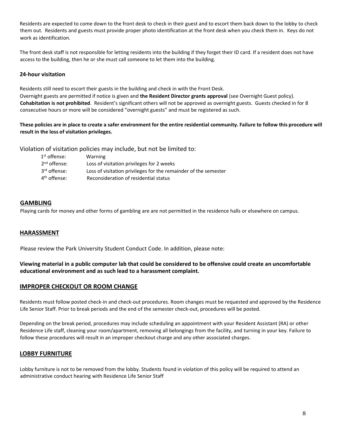Residents are expected to come down to the front desk to check in their guest and to escort them back down to the lobby to check them out. Residents and guests must provide proper photo identification at the front desk when you check them in. Keys do not work as identification.

The front desk staff is not responsible for letting residents into the building if they forget their ID card. If a resident does not have access to the building, then he or she must call someone to let them into the building.

## **24-hour visitation**

Residents still need to escort their guests in the building and check in with the Front Desk. Overnight guests are permitted if notice is given and **the Resident Director grants approval** (see Overnight Guest policy). **Cohabitation is not prohibited**. Resident's significant others will not be approved as overnight guests. Guests checked in for 8 consecutive hours or more will be considered "overnight guests" and must be registered as such.

**These policies are in place to create a safer environment for the entire residential community. Failure to follow this procedure will result in the loss of visitation privileges.** 

Violation of visitation policies may include, but not be limited to:

| $1^{\rm st}$ offense:    | Warning                                                         |
|--------------------------|-----------------------------------------------------------------|
| $2nd$ offense:           | Loss of visitation privileges for 2 weeks                       |
| 3 <sup>rd</sup> offense: | Loss of visitation privileges for the remainder of the semester |
| 4 <sup>th</sup> offense: | Reconsideration of residential status                           |

# <span id="page-7-0"></span>**GAMBLING**

Playing cards for money and other forms of gambling are are not permitted in the residence halls or elsewhere on campus.

#### <span id="page-7-1"></span>**HARASSMENT**

Please review the Park University Student Conduct Code. In addition, please note:

## **Viewing material in a public computer lab that could be considered to be offensive could create an uncomfortable educational environment and as such lead to a harassment complaint.**

#### <span id="page-7-2"></span>**IMPROPER CHECKOUT OR ROOM CHANGE**

Residents must follow posted check-in and check-out procedures. Room changes must be requested and approved by the Residence Life Senior Staff. Prior to break periods and the end of the semester check-out, procedures will be posted.

Depending on the break period, procedures may include scheduling an appointment with your Resident Assistant (RA) or other Residence Life staff, cleaning your room/apartment, removing all belongings from the facility, and turning in your key. Failure to follow these procedures will result in an improper checkout charge and any other associated charges.

#### <span id="page-7-3"></span>**LOBBY FURNITURE**

Lobby furniture is not to be removed from the lobby. Students found in violation of this policy will be required to attend an administrative conduct hearing with Residence Life Senior Staff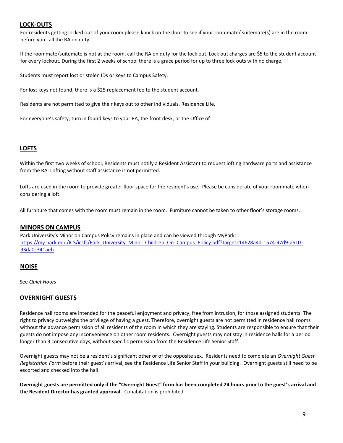# <span id="page-8-0"></span>**LOCK-OUTS**

For residents getting locked out of your room please knock on the door to see if your roommate/ suitemate(s) are in the room before you call the RA on duty.

If the roommate/suitemate is not at the room, call the RA on duty for the lock out. Lock out charges are \$5 to the student account for every lockout. During the first 2 weeks of school there is a grace period for up to three lock outs with no charge.

Students must report lost or stolen IDs or keys to Campus Safety.

For lost keys not found, there is a \$25 replacement fee to the student account.

Residents are not permitted to give their keys out to other individuals. Residence Life.

For everyone's safety, turn in found keys to your RA, the front desk, or the Office of

#### <span id="page-8-1"></span>**LOFTS**

Within the first two weeks of school, Residents must notify a Resident Assistant to request lofting hardware parts and assistance from the RA. Lofting without staff assistance is not permitted.

Lofts are used in the room to provide greater floor space for the resident's use. Please be considerate of your roommate when considering a loft.

All furniture that comes with the room must remain in the room. Furniture cannot be taken to other floor's storage rooms.

#### <span id="page-8-2"></span>**MINORS ON CAMPUS**

Park University's Minor on Campus Policy remains in place and can be viewed through MyPark: [https://my.park.edu/ICS/icsfs/Park\\_University\\_Minor\\_Children\\_On\\_Campus\\_Policy.pdf?target=14628a4d-1574-47d9-a610-](https://my.park.edu/ICS/icsfs/Park_University_Minor_Children_On_Campus_Policy.pdf?target=14628a4d-1574-47d9-a610-93da0c341aeb) [93da0c341aeb](https://my.park.edu/ICS/icsfs/Park_University_Minor_Children_On_Campus_Policy.pdf?target=14628a4d-1574-47d9-a610-93da0c341aeb)

#### <span id="page-8-3"></span>**NOISE**

See *Quiet Hours*

#### <span id="page-8-4"></span>**OVERNIGHT GUESTS**

Residence hall rooms are intended for the peaceful enjoyment and privacy, free from intrusion, for those assigned students. The right to privacy outweighs the privilege of having a guest. Therefore, overnight guests are not permitted in residence hall rooms without the advance permission of all residents of the room in which they are staying. Students are responsible to ensure that their guests do not impose any inconvenience on other room residents. Overnight guests may not stay in residence halls for a period longer than 3 consecutive days, without specific permission from the Residence Life Senior Staff.

Overnight guests may not be a resident's significant other or of the opposite sex. Residents need to complete an *Overnight Guest Registration Form* before their guest's arrival, see the Residence Life Senior Staff in your building. Overnight guests still need to be escorted and checked into the hall.

**Overnight guests are permitted only if the "Overnight Guest" form has been completed 24 hours prior to the guest's arrival and the Resident Director has granted approval.** Cohabitation is prohibited.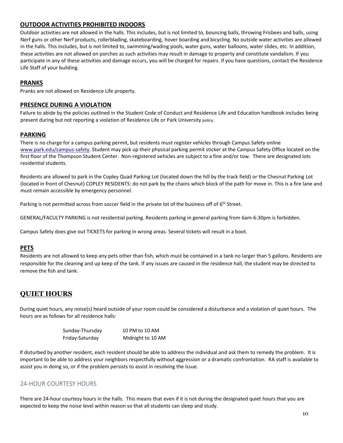# <span id="page-9-0"></span>**OUTDOOR ACTIVITIES PROHIBITED INDOORS**

Outdoor activities are not allowed in the halls. This includes, but is not limited to, bouncing balls, throwing Frisbees and balls, using Nerf guns or other Nerf products, rollerblading, skateboarding, hover boarding and bicycling. No outside water activities are allowed in the halls. This includes, but is not limited to, swimming/wading pools, water guns, water balloons, water slides, etc. In addition, these activities are not allowed on porches as such activities may result in damage to property and constitute vandalism. If you participate in any of these activities and damage occurs, you will be charged for repairs. If you have questions, contact the Residence Life Staff of your building.

# <span id="page-9-1"></span>**PRANKS**

Pranks are not allowed on Residence Life property.

#### <span id="page-9-2"></span>**PRESENCE DURING A VIOLATION**

Failure to abide by the policies outlined in the Student Code of Conduct and Residence Life and Education handbook includes being present during but not reporting a violation of Residence Life or Park University policy.

#### <span id="page-9-3"></span>**PARKING**

There is no charge for a campus parking permit, but residents must register vehicles through Campus Safety online [www.park.edu/campus-safety.](http://www.park.edu/campus-safety) Student may pick up their physical parking permit sticker at the Campus Safety Office located on the first floor of the Thompson Student Center. Non-registered vehicles are subject to a fine and/or tow. There are designated lots residential students.

Residents are allowed to park in the Copley Quad Parking Lot (located down the hill by the track field) or the Chesnut Parking Lot (located in front of Chesnut) COPLEY RESIDENTS: do not park by the chains which block of the path for move in. This is a fire lane and must remain accessible by emergency personnel.

Parking is not permitted across from soccer field in the private lot of the business off of 6<sup>th</sup> Street.

GENERAL/FACULTY PARKING is not residential parking. Residents parking in general parking from 6am-6:30pm is forbidden.

Campus Safety does give out TICKETS for parking in wrong areas. Several tickets will result in a boot.

# <span id="page-9-4"></span>**PETS**

Residents are not allowed to keep any pets other than fish, which must be contained in a tank no larger than 5 gallons. Residents are responsible for the cleaning and up keep of the tank. If any issues are caused in the residence hall, the student may be directed to remove the fish and tank.

# <span id="page-9-5"></span>**QUIET HOURS**

During quiet hours, any noise(s) heard outside of your room could be considered a disturbance and a violation of quiet hours. The hours are as follows for all residence halls:

| Sunday-Thursday | 10 PM to 10 AM    |
|-----------------|-------------------|
| Friday-Saturday | Midnight to 10 AM |

If disturbed by another resident, each resident should be able to address the individual and ask them to remedy the problem. It is important to be able to address your neighbors respectfully without aggression or a dramatic confrontation. RA staff is available to assist you in doing so, or if the problem persists to assist in resolving the issue.

#### <span id="page-9-6"></span>24-HOUR COURTESY HOURS

There are 24-hour courtesy hours in the halls. This means that even if it is not during the designated quiet hours that you are expected to keep the noise level within reason so that all students can sleep and study.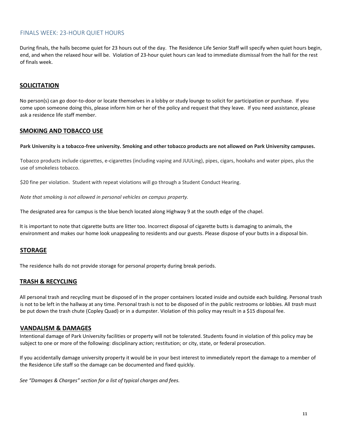#### <span id="page-10-0"></span>FINALS WEEK: 23-HOUR QUIET HOURS

During finals, the halls become quiet for 23 hours out of the day. The Residence Life Senior Staff will specify when quiet hours begin, end, and when the relaxed hour will be. Violation of 23-hour quiet hours can lead to immediate dismissal from the hall for the rest of finals week.

# <span id="page-10-1"></span>**SOLICITATION**

No person(s) can go door-to-door or locate themselves in a lobby or study lounge to solicit for participation or purchase. If you come upon someone doing this, please inform him or her of the policy and request that they leave. If you need assistance, please ask a residence life staff member.

# <span id="page-10-2"></span>**SMOKING AND TOBACCO USE**

**Park University is a tobacco-free university. Smoking and other tobacco products are not allowed on Park University campuses.**

Tobacco products include cigarettes, e-cigarettes (including vaping and JUULing), pipes, cigars, hookahs and water pipes, plus the use of smokeless tobacco.

\$20 fine per violation. Student with repeat violations will go through a Student Conduct Hearing.

*Note that smoking is not allowed in personal vehicles on campus property.*

The designated area for campus is the blue bench located along Highway 9 at the south edge of the chapel.

It is important to note that cigarette butts are litter too. Incorrect disposal of cigarette butts is damaging to animals, the environment and makes our home look unappealing to residents and our guests. Please dispose of your butts in a disposal bin.

# <span id="page-10-3"></span>**STORAGE**

The residence halls do not provide storage for personal property during break periods.

#### <span id="page-10-4"></span>**TRASH & RECYCLING**

All personal trash and recycling must be disposed of in the proper containers located inside and outside each building. Personal trash is not to be left in the hallway at any time. Personal trash is not to be disposed of in the public restrooms or lobbies. All *trash* must be put down the trash chute (Copley Quad) or in a dumpster. Violation of this policy may result in a \$15 disposal fee.

#### <span id="page-10-5"></span>**VANDALISM & DAMAGES**

Intentional damage of Park University facilities or property will not be tolerated. Students found in violation of this policy may be subject to one or more of the following: disciplinary action; restitution; or city, state, or federal prosecution.

If you accidentally damage university property it would be in your best interest to immediately report the damage to a member of the Residence Life staff so the damage can be documented and fixed quickly.

*See "Damages & Charges" section for a list of typical charges and fees.*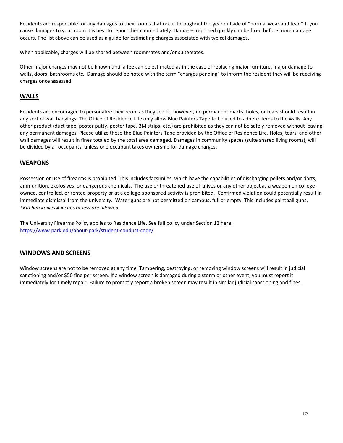Residents are responsible for any damages to their rooms that occur throughout the year outside of "normal wear and tear." If you cause damages to your room it is best to report them immediately. Damages reported quickly can be fixed before more damage occurs. The list above can be used as a guide for estimating charges associated with typical damages.

When applicable, charges will be shared between roommates and/or suitemates.

Other major charges may not be known until a fee can be estimated as in the case of replacing major furniture, major damage to walls, doors, bathrooms etc. Damage should be noted with the term "charges pending" to inform the resident they will be receiving charges once assessed.

# <span id="page-11-0"></span>**WALLS**

Residents are encouraged to personalize their room as they see fit; however, no permanent marks, holes, or tears should result in any sort of wall hangings. The Office of Residence Life only allow Blue Painters Tape to be used to adhere items to the walls. Any other product (duct tape, poster putty, poster tape, 3M strips, etc.) are prohibited as they can not be safely removed without leaving any permanent damages. Please utilize these the Blue Painters Tape provided by the Office of Residence Life. Holes, tears, and other wall damages will result in fines totaled by the total area damaged. Damages in community spaces (suite shared living rooms), will be divided by all occupants, unless one occupant takes ownership for damage charges.

# <span id="page-11-1"></span>**WEAPONS**

Possession or use of firearms is prohibited. This includes facsimiles, which have the capabilities of discharging pellets and/or darts, ammunition, explosives, or dangerous chemicals. The use or threatened use of knives or any other object as a weapon on collegeowned, controlled, or rented property or at a college-sponsored activity is prohibited. Confirmed violation could potentially result in immediate dismissal from the university. Water guns are not permitted on campus, full or empty. This includes paintball guns. *\*Kitchen knives 4 inches or less are allowed.* 

The University Firearms Policy applies to Residence Life. See full policy under Section 12 here: <https://www.park.edu/about-park/student-conduct-code/>

# <span id="page-11-2"></span>**WINDOWS AND SCREENS**

Window screens are not to be removed at any time. Tampering, destroying, or removing window screens will result in judicial sanctioning and/or \$50 fine per screen. If a window screen is damaged during a storm or other event, you must report it immediately for timely repair. Failure to promptly report a broken screen may result in similar judicial sanctioning and fines.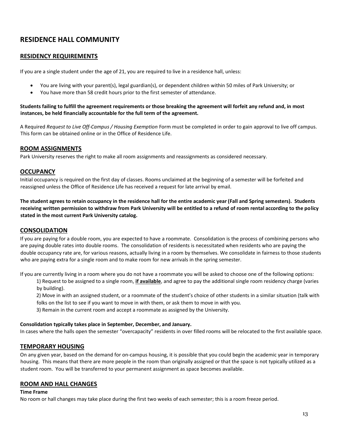# <span id="page-12-0"></span>**RESIDENCE HALL COMMUNITY**

# <span id="page-12-1"></span>**RESIDENCY REQUIREMENTS**

If you are a single student under the age of 21, you are required to live in a residence hall, unless:

- You are living with your parent(s), legal guardian(s), or dependent children within 50 miles of Park University; or
- You have more than 58 credit hours prior to the first semester of attendance.

#### **Students failing to fulfill the agreement requirements or those breaking the agreement will forfeit any refund and, in most instances, be held financially accountable for the full term of the agreement.**

A Required *Request to Live Off-Campus / Housing Exemption* Form must be completed in order to gain approval to live off campus. This form can be obtained online or in the Office of Residence Life.

#### <span id="page-12-2"></span>**ROOM ASSIGNMENTS**

Park University reserves the right to make all room assignments and reassignments as considered necessary.

#### <span id="page-12-3"></span>**OCCUPANCY**

Initial occupancy is required on the first day of classes. Rooms unclaimed at the beginning of a semester will be forfeited and reassigned unless the Office of Residence Life has received a request for late arrival by email.

**The student agrees to retain occupancy in the residence hall for the entire academic year (Fall and Spring semesters). Students receiving written permission to withdraw from Park University will be entitled to a refund of room rental according to the policy stated in the most current Park University catalog.**

# <span id="page-12-4"></span>**CONSOLIDATION**

If you are paying for a double room, you are expected to have a roommate. Consolidation is the process of combining persons who are paying double rates into double rooms. The consolidation of residents is necessitated when residents who are paying the double occupancy rate are, for various reasons, actually living in a room by themselves. We consolidate in fairness to those students who are paying extra for a single room and to make room for new arrivals in the spring semester.

If you are currently living in a room where you do not have a roommate you will be asked to choose one of the following options:

1) Request to be assigned to a single room, **if available**, and agree to pay the additional single room residency charge (varies by building).

2) Move in with an assigned student, or a roommate of the student's choice of other students in a similar situation (talk with folks on the list to see if you want to move in with them, or ask them to move in with you.

3) Remain in the current room and accept a roommate as assigned by the University.

#### **Consolidation typically takes place in September, December, and January.**

In cases where the halls open the semester "overcapacity" residents in over filled rooms will be relocated to the first available space.

# <span id="page-12-5"></span>**TEMPORARY HOUSING**

On any given year, based on the demand for on-campus housing, it is possible that you could begin the academic year in temporary housing. This means that there are more people in the room than originally assigned or that the space is not typically utilized as a student room. You will be transferred to your permanent assignment as space becomes available.

# <span id="page-12-6"></span>**ROOM AND HALL CHANGES**

#### **Time Frame**

No room or hall changes may take place during the first two weeks of each semester; this is a room freeze period.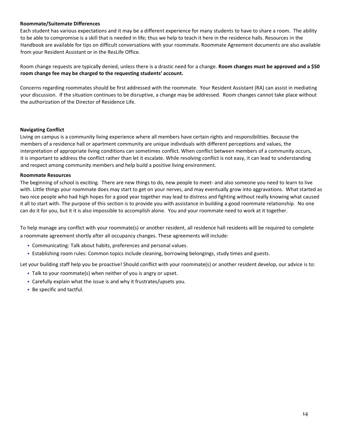#### **Roommate/Suitemate Differences**

Each student has various expectations and it may be a different experience for many students to have to share a room. The ability to be able to compromise is a skill that is needed in life; thus we help to teach it here in the residence halls. Resources in the Handbook are available for tips on difficult conversations with your roommate. Roommate Agreement documents are also available from your Resident Assistant or in the ResLife Office.

Room change requests are typically denied, unless there is a drastic need for a change. **Room changes must be approved and a \$50 room change fee may be charged to the requesting students' account.**

Concerns regarding roommates should be first addressed with the roommate. Your Resident Assistant (RA) can assist in mediating your discussion. If the situation continues to be disruptive, a change may be addressed. Room changes cannot take place without the authorization of the Director of Residence Life.

#### **Navigating Conflict**

Living on campus is a community living experience where all members have certain rights and responsibilities. Because the members of a residence hall or apartment community are unique individuals with different perceptions and values, the interpretation of appropriate living conditions can sometimes conflict. When conflict between members of a community occurs, it is important to address the conflict rather than let it escalate. While resolving conflict is not easy, it can lead to understanding and respect among community members and help build a positive living environment.

#### **Roommate Resources**

The beginning of school is exciting. There are new things to do, new people to meet- and also someone you need to learn to live with. Little things your roommate does may start to get on your nerves, and may eventually grow into aggravations. What started as two nice people who had high hopes for a good year together may lead to distress and fighting without really knowing what caused it all to start with. The purpose of this section is to provide you with assistance in building a good roommate relationship. No one can do it for you, but it it is also impossible to accomplish alone. You and your roommate need to work at it together.

To help manage any conflict with your roommate(s) or another resident, all residence hall residents will be required to complete a roommate agreement shortly after all occupancy changes. These agreements will include:

- Communicating: Talk about habits, preferences and personal values.
- Establishing room rules: Common topics include cleaning, borrowing belongings, study times and guests.

Let your building staff help you be proactive! Should conflict with your roommate(s) or another resident develop, our advice is to:

- Talk to your roommate(s) when neither of you is angry or upset.
- Carefully explain what the issue is and why it frustrates/upsets you.
- Be specific and tactful.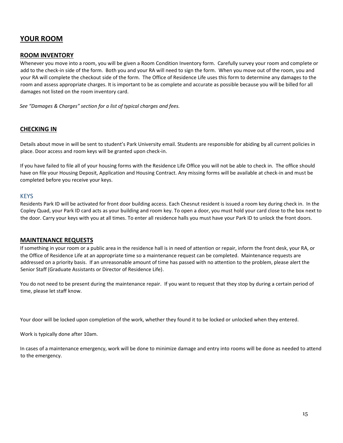# <span id="page-14-0"></span>**YOUR ROOM**

# <span id="page-14-1"></span>**ROOM INVENTORY**

Whenever you move into a room, you will be given a Room Condition Inventory form. Carefully survey your room and complete or add to the check-in side of the form. Both you and your RA will need to sign the form. When you move out of the room, you and your RA will complete the checkout side of the form. The Office of Residence Life uses this form to determine any damages to the room and assess appropriate charges. It is important to be as complete and accurate as possible because you will be billed for all damages not listed on the room inventory card.

*See "Damages & Charges" section for a list of typical charges and fees.* 

#### <span id="page-14-2"></span>**CHECKING IN**

Details about move in will be sent to student's Park University email. Students are responsible for abiding by all current policies in place. Door access and room keys will be granted upon check-in.

If you have failed to file all of your housing forms with the Residence Life Office you will not be able to check in. The office should have on file your Housing Deposit, Application and Housing Contract. Any missing forms will be available at check-in and must be completed before you receive your keys.

#### <span id="page-14-3"></span>**KEYS**

Residents Park ID will be activated for front door building access. Each Chesnut resident is issued a room key during check in. In the Copley Quad, your Park ID card acts as your building and room key. To open a door, you must hold your card close to the box next to the door. Carry your keys with you at all times. To enter all residence halls you must have your Park ID to unlock the front doors.

#### <span id="page-14-4"></span>**MAINTENANCE REQUESTS**

If something in your room or a public area in the residence hall is in need of attention or repair, inform the front desk, your RA, or the Office of Residence Life at an appropriate time so a maintenance request can be completed. Maintenance requests are addressed on a priority basis. If an unreasonable amount of time has passed with no attention to the problem, please alert the Senior Staff (Graduate Assistants or Director of Residence Life).

You do not need to be present during the maintenance repair. If you want to request that they stop by during a certain period of time, please let staff know.

Your door will be locked upon completion of the work, whether they found it to be locked or unlocked when they entered.

Work is typically done after 10am.

In cases of a maintenance emergency, work will be done to minimize damage and entry into rooms will be done as needed to attend to the emergency.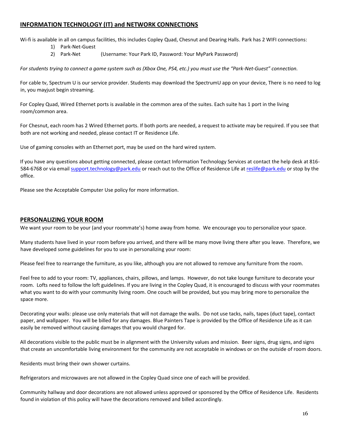# <span id="page-15-0"></span>**INFORMATION TECHNOLOGY (IT) and NETWORK CONNECTIONS**

Wi-fi is available in all on campus facilities, this includes Copley Quad, Chesnut and Dearing Halls. Park has 2 WIFI connections:

- 1) Park-Net-Guest
- 2) Park-Net (Username: Your Park ID, Password: Your MyPark Password)

*For students trying to connect a game system such as (Xbox One, PS4, etc.) you must use the "Park-Net-Guest" connection.*

For cable tv, Spectrum U is our service provider. Students may download the SpectrumU app on your device, There is no need to log in, you mayjust begin streaming.

For Copley Quad, Wired Ethernet ports is available in the common area of the suites. Each suite has 1 port in the living room/common area.

For Chesnut, each room has 2 Wired Ethernet ports. If both ports are needed, a request to activate may be required. If you see that both are not working and needed, please contact IT or Residence Life.

Use of gaming consoles with an Ethernet port, may be used on the hard wired system.

If you have any questions about getting connected, please contact Information Technology Services at contact the help desk at 816 584-6768 or via email [support.technology@park.edu](mailto:support.technology@park.edu) or reach out to the Office of Residence Life at [reslife@park.edu](mailto:reslife@park.edu) or stop by the office.

Please see the Acceptable Computer Use policy for more information.

## <span id="page-15-1"></span>**PERSONALIZING YOUR ROOM**

We want your room to be your (and your roommate's) home away from home. We encourage you to personalize your space.

Many students have lived in your room before you arrived, and there will be many move living there after you leave. Therefore, we have developed some guidelines for you to use in personalizing your room:

Please feel free to rearrange the furniture, as you like, although you are not allowed to remove any furniture from the room.

Feel free to add to your room: TV, appliances, chairs, pillows, and lamps. However, do not take lounge furniture to decorate your room. Lofts need to follow the loft guidelines. If you are living in the Copley Quad, it is encouraged to discuss with your roommates what you want to do with your community living room. One couch will be provided, but you may bring more to personalize the space more.

Decorating your walls: please use only materials that will not damage the walls. Do not use tacks, nails, tapes (duct tape), contact paper, and wallpaper. You will be billed for any damages. Blue Painters Tape is provided by the Office of Residence Life as it can easily be removed without causing damages that you would charged for.

All decorations visible to the public must be in alignment with the University values and mission. Beer signs, drug signs, and signs that create an uncomfortable living environment for the community are not acceptable in windows or on the outside of room doors.

Residents must bring their own shower curtains.

Refrigerators and microwaves are not allowed in the Copley Quad since one of each will be provided.

Community hallway and door decorations are not allowed unless approved or sponsored by the Office of Residence Life. Residents found in violation of this policy will have the decorations removed and billed accordingly.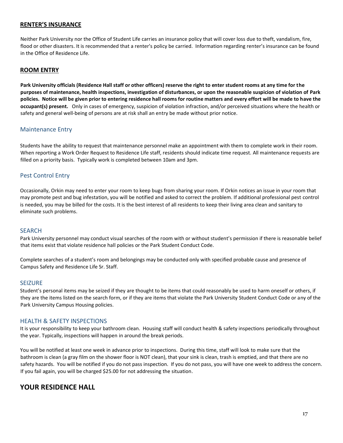# <span id="page-16-0"></span>**RENTER'S INSURANCE**

Neither Park University nor the Office of Student Life carries an insurance policy that will cover loss due to theft, vandalism, fire, flood or other disasters. It is recommended that a renter's policy be carried. Information regarding renter's insurance can be found in the Office of Residence Life.

#### <span id="page-16-1"></span>**ROOM ENTRY**

**Park University officials (Residence Hall staff or other officers) reserve the right to enter student rooms at any time for the purposes of maintenance, health inspections, investigation of disturbances, or upon the reasonable suspicion of violation of Park policies. Notice will be given prior to entering residence hall rooms for routine matters and every effort will be made to have the occupant(s) present.** Only in cases of emergency, suspicion of violation infraction, and/or perceived situations where the health or safety and general well-being of persons are at risk shall an entry be made without prior notice.

# <span id="page-16-2"></span>Maintenance Entry

Students have the ability to request that maintenance personnel make an appointment with them to complete work in their room. When reporting a Work Order Request to Residence Life staff, residents should indicate time request. All maintenance requests are filled on a priority basis. Typically work is completed between 10am and 3pm.

# <span id="page-16-3"></span>Pest Control Entry

Occasionally, Orkin may need to enter your room to keep bugs from sharing your room. If Orkin notices an issue in your room that may promote pest and bug infestation, you will be notified and asked to correct the problem. If additional professional pest control is needed, you may be billed for the costs. It is the best interest of all residents to keep their living area clean and sanitary to eliminate such problems.

#### <span id="page-16-4"></span>SEARCH

Park University personnel may conduct visual searches of the room with or without student's permission if there is reasonable belief that items exist that violate residence hall policies or the Park Student Conduct Code.

Complete searches of a student's room and belongings may be conducted only with specified probable cause and presence of Campus Safety and Residence Life Sr. Staff.

#### <span id="page-16-5"></span>SEIZURE

Student's personal items may be seized if they are thought to be items that could reasonably be used to harm oneself or others, if they are the items listed on the search form, or if they are items that violate the Park University Student Conduct Code or any of the Park University Campus Housing policies.

#### <span id="page-16-6"></span>HEALTH & SAFETY INSPECTIONS

It is your responsibility to keep your bathroom clean. Housing staff will conduct health & safety inspections periodically throughout the year. Typically, inspections will happen in around the break periods.

You will be notified at least one week in advance prior to inspections. During this time, staff will look to make sure that the bathroom is clean (a gray film on the shower floor is NOT clean), that your sink is clean, trash is emptied, and that there are no safety hazards. You will be notified if you do not pass inspection. If you do not pass, you will have one week to address the concern. If you fail again, you will be charged \$25.00 for not addressing the situation.

# <span id="page-16-7"></span>**YOUR RESIDENCE HALL**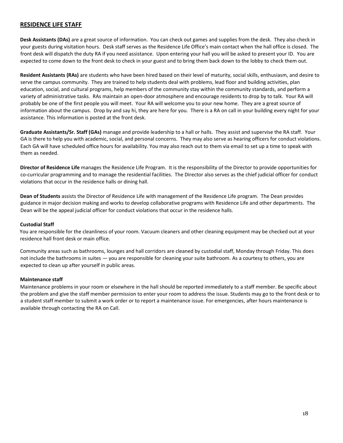# <span id="page-17-0"></span>**RESIDENCE LIFE STAFF**

**Desk Assistants (DAs)** are a great source of information. You can check out games and supplies from the desk. They also check in your guests during visitation hours. Desk staff serves as the Residence Life Office's main contact when the hall office is closed. The front desk will dispatch the duty RA if you need assistance. Upon entering your hall you will be asked to present your ID. You are expected to come down to the front desk to check in your guest and to bring them back down to the lobby to check them out.

**Resident Assistants (RAs)** are students who have been hired based on their level of maturity, social skills, enthusiasm, and desire to serve the campus community. They are trained to help students deal with problems, lead floor and building activities, plan education, social, and cultural programs, help members of the community stay within the community standards, and perform a variety of administrative tasks. RAs maintain an open-door atmosphere and encourage residents to drop by to talk. Your RA will probably be one of the first people you will meet. Your RA will welcome you to your new home. They are a great source of information about the campus. Drop by and say hi, they are here for you. There is a RA on call in your building every night for your assistance. This information is posted at the front desk.

**Graduate Assistants/Sr. Staff (GAs)** manage and provide leadership to a hall or halls. They assist and supervise the RA staff. Your GA is there to help you with academic, social, and personal concerns. They may also serve as hearing officers for conduct violations. Each GA will have scheduled office hours for availability. You may also reach out to them via email to set up a time to speak with them as needed.

**Director of Residence Life** manages the Residence Life Program. It is the responsibility of the Director to provide opportunities for co-curricular programming and to manage the residential facilities. The Director also serves as the chief judicial officer for conduct violations that occur in the residence halls or dining hall.

**Dean of Students** assists the Director of Residence Life with management of the Residence Life program. The Dean provides guidance in major decision making and works to develop collaborative programs with Residence Life and other departments. The Dean will be the appeal judicial officer for conduct violations that occur in the residence halls.

#### **Custodial Staff**

You are responsible for the cleanliness of your room. Vacuum cleaners and other cleaning equipment may be checked out at your residence hall front desk or main office.

Community areas such as bathrooms, lounges and hall corridors are cleaned by custodial staff, Monday through Friday. This does not include the bathrooms in suites — you are responsible for cleaning your suite bathroom. As a courtesy to others, you are expected to clean up after yourself in public areas.

#### **Maintenance staff**

Maintenance problems in your room or elsewhere in the hall should be reported immediately to a staff member. Be specific about the problem and give the staff member permission to enter your room to address the issue. Students may go to the front desk or to a student staff member to submit a work order or to report a maintenance issue. For emergencies, after hours maintenance is available through contacting the RA on Call.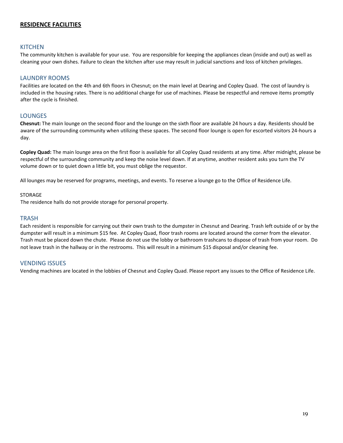# <span id="page-18-0"></span>**RESIDENCE FACILITIES**

#### <span id="page-18-1"></span>**KITCHEN**

The community kitchen is available for your use. You are responsible for keeping the appliances clean (inside and out) as well as cleaning your own dishes. Failure to clean the kitchen after use may result in judicial sanctions and loss of kitchen privileges.

#### <span id="page-18-2"></span>LAUNDRY ROOMS

Facilities are located on the 4th and 6th floors in Chesnut; on the main level at Dearing and Copley Quad. The cost of laundry is included in the housing rates. There is no additional charge for use of machines. Please be respectful and remove items promptly after the cycle is finished.

#### <span id="page-18-3"></span>LOUNGES

**Chesnut:** The main lounge on the second floor and the lounge on the sixth floor are available 24 hours a day. Residents should be aware of the surrounding community when utilizing these spaces. The second floor lounge is open for escorted visitors 24-hours a day.

**Copley Quad:** The main lounge area on the first floor is available for all Copley Quad residents at any time. After midnight, please be respectful of the surrounding community and keep the noise level down. If at anytime, another resident asks you turn the TV volume down or to quiet down a little bit, you must oblige the requestor.

All lounges may be reserved for programs, meetings, and events. To reserve a lounge go to the Office of Residence Life.

#### STORAGE

The residence halls do not provide storage for personal property.

#### <span id="page-18-4"></span>**TRASH**

Each resident is responsible for carrying out their own trash to the dumpster in Chesnut and Dearing. Trash left outside of or by the dumpster will result in a minimum \$15 fee. At Copley Quad, floor trash rooms are located around the corner from the elevator. Trash must be placed down the chute. Please do not use the lobby or bathroom trashcans to dispose of trash from your room. Do not leave trash in the hallway or in the restrooms. This will result in a minimum \$15 disposal and/or cleaning fee.

#### <span id="page-18-5"></span>VENDING ISSUES

Vending machines are located in the lobbies of Chesnut and Copley Quad. Please report any issues to the Office of Residence Life.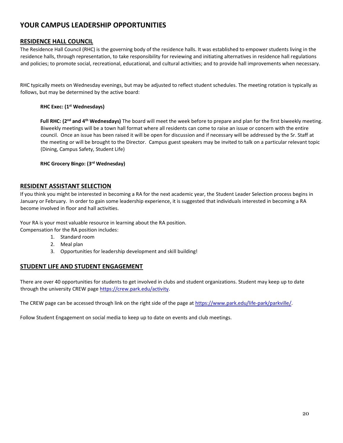# <span id="page-19-0"></span>**YOUR CAMPUS LEADERSHIP OPPORTUNITIES**

# <span id="page-19-1"></span>**RESIDENCE HALL COUNCIL**

The Residence Hall Council (RHC) is the governing body of the residence halls. It was established to empower students living in the residence halls, through representation, to take responsibility for reviewing and initiating alternatives in residence hall regulations and policies; to promote social, recreational, educational, and cultural activities; and to provide hall improvements when necessary.

RHC typically meets on Wednesday evenings, but may be adjusted to reflect student schedules. The meeting rotation is typically as follows, but may be determined by the active board:

## **RHC Exec: (1st Wednesdays)**

Full RHC: (2<sup>nd</sup> and 4<sup>th</sup> Wednesdays) The board will meet the week before to prepare and plan for the first biweekly meeting. Biweekly meetings will be a town hall format where all residents can come to raise an issue or concern with the entire council. Once an issue has been raised it will be open for discussion and if necessary will be addressed by the Sr. Staff at the meeting or will be brought to the Director. Campus guest speakers may be invited to talk on a particular relevant topic (Dining, Campus Safety, Student Life)

**RHC Grocery Bingo: (3rd Wednesday)** 

# <span id="page-19-2"></span>**RESIDENT ASSISTANT SELECTION**

If you think you might be interested in becoming a RA for the next academic year, the Student Leader Selection process begins in January or February. In order to gain some leadership experience, it is suggested that individuals interested in becoming a RA become involved in floor and hall activities.

Your RA is your most valuable resource in learning about the RA position.

Compensation for the RA position includes:

- 1. Standard room
- 2. Meal plan
- 3. Opportunities for leadership development and skill building!

# <span id="page-19-3"></span>**STUDENT LIFE AND STUDENT ENGAGEMENT**

There are over 40 opportunities for students to get involved in clubs and student organizations. Student may keep up to date through the university CREW page [https://crew.park.edu/activity.](https://crew.park.edu/activity)

The CREW page can be accessed through link on the right side of the page a[t https://www.park.edu/life-park/parkville/.](https://www.park.edu/life-park/parkville/)

Follow Student Engagement on social media to keep up to date on events and club meetings.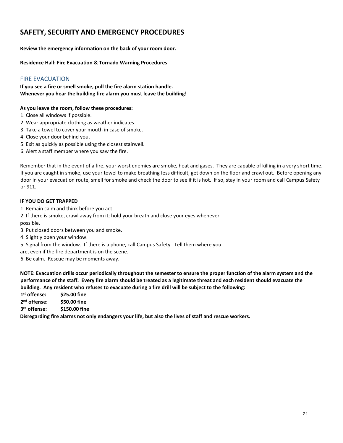# <span id="page-20-0"></span>**SAFETY, SECURITY AND EMERGENCY PROCEDURES**

**Review the emergency information on the back of your room door.**

**Residence Hall: Fire Evacuation & Tornado Warning Procedures**

# <span id="page-20-1"></span>FIRE EVACUATION

**If you see a fire or smell smoke, pull the fire alarm station handle. Whenever you hear the building fire alarm you must leave the building!**

#### **As you leave the room, follow these procedures:**

- 1. Close all windows if possible.
- 2. Wear appropriate clothing as weather indicates.
- 3. Take a towel to cover your mouth in case of smoke.
- 4. Close your door behind you.
- 5. Exit as quickly as possible using the closest stairwell.
- 6. Alert a staff member where you saw the fire.

Remember that in the event of a fire, your worst enemies are smoke, heat and gases. They are capable of killing in a very short time. If you are caught in smoke, use your towel to make breathing less difficult, get down on the floor and crawl out. Before opening any door in your evacuation route, smell for smoke and check the door to see if it is hot. If so, stay in your room and call Campus Safety or 911.

#### **IF YOU DO GET TRAPPED**

- 1. Remain calm and think before you act.
- 2. If there is smoke, crawl away from it; hold your breath and close your eyes whenever possible.
- 3. Put closed doors between you and smoke.
- 4. Slightly open your window.
- 5. Signal from the window. If there is a phone, call Campus Safety. Tell them where you
- are, even if the fire department is on the scene.
- 6. Be calm. Rescue may be moments away.

**NOTE: Evacuation drills occur periodically throughout the semester to ensure the proper function of the alarm system and the performance of the staff. Every fire alarm should be treated as a legitimate threat and each resident should evacuate the building. Any resident who refuses to evacuate during a fire drill will be subject to the following:**

1<sup>st</sup> offense: **st offense: \$25.00 fine** 2<sup>nd</sup> offense: **nd offense: \$50.00 fine**

3<sup>rd</sup> offense: **rd offense: \$150.00 fine**

**Disregarding fire alarms not only endangers your life, but also the lives of staff and rescue workers.**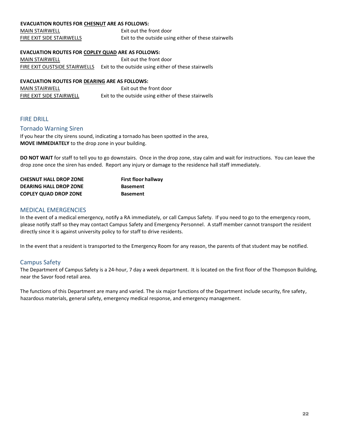# **EVACUATION ROUTES FOR CHESNUT ARE AS FOLLOWS:**

| <b>MAIN STAIRWELL</b>     | Exit out the front door                              |
|---------------------------|------------------------------------------------------|
| FIRE EXIT SIDE STAIRWELLS | Exit to the outside using either of these stairwells |

#### **EVACUATION ROUTES FOR COPLEY QUAD ARE AS FOLLOWS:**

MAIN STAIRWELL Exit out the front door FIRE EXIT OUSTSIDE STAIRWELLS Exit to the outside using either of these stairwells

#### **EVACUATION ROUTES FOR DEARING ARE AS FOLLOWS:**

| <b>MAIN STAIRWELL</b>    | Exit out the front door                              |
|--------------------------|------------------------------------------------------|
| FIRE EXIT SIDE STAIRWELL | Exit to the outside using either of these stairwells |

#### <span id="page-21-0"></span>FIRE DRILL

#### <span id="page-21-1"></span>Tornado Warning Siren

If you hear the city sirens sound, indicating a tornado has been spotted in the area, **MOVE IMMEDIATELY** to the drop zone in your building.

**DO NOT WAIT** for staff to tell you to go downstairs. Once in the drop zone, stay calm and wait for instructions. You can leave the drop zone once the siren has ended. Report any injury or damage to the residence hall staff immediately.

| <b>CHESNUT HALL DROP ZONE</b> | <b>First floor hallway</b> |
|-------------------------------|----------------------------|
| <b>DEARING HALL DROP ZONE</b> | <b>Basement</b>            |
| <b>COPLEY QUAD DROP ZONE</b>  | <b>Basement</b>            |

## <span id="page-21-2"></span>MEDICAL EMERGENCIES

In the event of a medical emergency, notify a RA immediately, or call Campus Safety. If you need to go to the emergency room, please notify staff so they may contact Campus Safety and Emergency Personnel. A staff member cannot transport the resident directly since it is against university policy to for staff to drive residents.

In the event that a resident is transported to the Emergency Room for any reason, the parents of that student may be notified.

# <span id="page-21-3"></span>Campus Safety

The Department of Campus Safety is a 24-hour, 7 day a week department. It is located on the first floor of the Thompson Building, near the Savor food retail area.

The functions of this Department are many and varied. The six major functions of the Department include security, fire safety, hazardous materials, general safety, emergency medical response, and emergency management.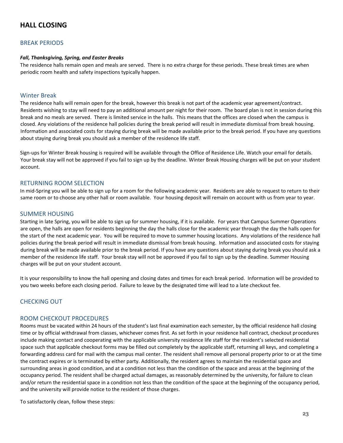# <span id="page-22-0"></span>**HALL CLOSING**

# <span id="page-22-1"></span>BREAK PERIODS

#### *Fall, Thanksgiving, Spring, and Easter Breaks*

The residence halls remain open and meals are served. There is no extra charge for these periods. These break times are when periodic room health and safety inspections typically happen.

#### <span id="page-22-2"></span>Winter Break

The residence halls will remain open for the break, however this break is not part of the academic year agreement/contract. Residents wishing to stay will need to pay an additional amount per night for their room. The board plan is not in session during this break and no meals are served. There is limited service in the halls. This means that the offices are closed when the campus is closed. Any violations of the residence hall policies during the break period will result in immediate dismissal from break housing. Information and associated costs for staying during break will be made available prior to the break period. If you have any questions about staying during break you should ask a member of the residence life staff.

Sign-ups for Winter Break housing is required will be available through the Office of Residence Life. Watch your email for details. Your break stay will not be approved if you fail to sign up by the deadline. Winter Break Housing charges will be put on your student account.

# <span id="page-22-3"></span>RETURNING ROOM SELECTION

In mid-Spring you will be able to sign up for a room for the following academic year. Residents are able to request to return to their same room or to choose any other hall or room available. Your housing deposit will remain on account with us from year to year.

#### <span id="page-22-4"></span>SUMMER HOUSING

Starting in late Spring, you will be able to sign up for summer housing, if it is available. For years that Campus Summer Operations are open, the halls are open for residents beginning the day the halls close for the academic year through the day the halls open for the start of the next academic year. You will be required to move to summer housing locations. Any violations of the residence hall policies during the break period will result in immediate dismissal from break housing. Information and associated costs for staying during break will be made available prior to the break period. If you have any questions about staying during break you should ask a member of the residence life staff. Your break stay will not be approved if you fail to sign up by the deadline. Summer Housing charges will be put on your student account.

It is your responsibility to know the hall opening and closing dates and times for each break period. Information will be provided to you two weeks before each closing period. Failure to leave by the designated time will lead to a late checkout fee.

# <span id="page-22-5"></span>CHECKING OUT

#### <span id="page-22-6"></span>ROOM CHECKOUT PROCEDURES

Rooms must be vacated within 24 hours of the student's last final examination each semester, by the official residence hall closing time or by official withdrawal from classes, whichever comes first. As set forth in your residence hall contract, checkout procedures include making contact and cooperating with the applicable university residence life staff for the resident's selected residential space such that applicable checkout forms may be filled out completely by the applicable staff, returning all keys, and completing a forwarding address card for mail with the campus mail center. The resident shall remove all personal property prior to or at the time the contract expires or is terminated by either party. Additionally, the resident agrees to maintain the residential space and surrounding areas in good condition, and at a condition not less than the condition of the space and areas at the beginning of the occupancy period. The resident shall be charged actual damages, as reasonably determined by the university, for failure to clean and/or return the residential space in a condition not less than the condition of the space at the beginning of the occupancy period, and the university will provide notice to the resident of those charges.

To satisfactorily clean, follow these steps: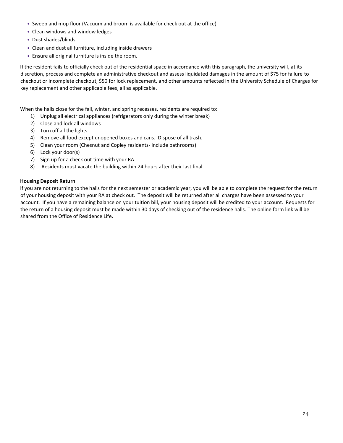- Sweep and mop floor (Vacuum and broom is available for check out at the office)
- Clean windows and window ledges
- Dust shades/blinds
- Clean and dust all furniture, including inside drawers
- Ensure all original furniture is inside the room.

If the resident fails to officially check out of the residential space in accordance with this paragraph, the university will, at its discretion, process and complete an administrative checkout and assess liquidated damages in the amount of \$75 for failure to checkout or incomplete checkout, \$50 for lock replacement, and other amounts reflected in the University Schedule of Charges for key replacement and other applicable fees, all as applicable.

When the halls close for the fall, winter, and spring recesses, residents are required to:

- 1) Unplug all electrical appliances (refrigerators only during the winter break)
- 2) Close and lock all windows
- 3) Turn off all the lights
- 4) Remove all food except unopened boxes and cans. Dispose of all trash.
- 5) Clean your room (Chesnut and Copley residents- include bathrooms)
- 6) Lock your door(s)
- 7) Sign up for a check out time with your RA.
- 8) Residents must vacate the building within 24 hours after their last final.

#### **Housing Deposit Return**

If you are not returning to the halls for the next semester or academic year, you will be able to complete the request for the return of your housing deposit with your RA at check out. The deposit will be returned after all charges have been assessed to your account. If you have a remaining balance on your tuition bill, your housing deposit will be credited to your account. Requests for the return of a housing deposit must be made within 30 days of checking out of the residence halls. The online form link will be shared from the Office of Residence Life.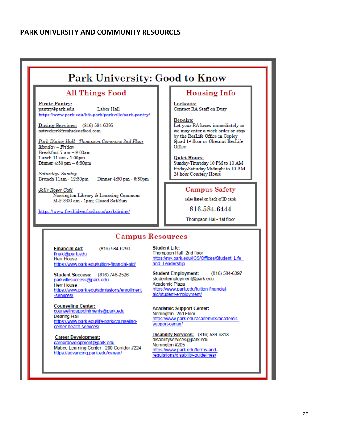# <span id="page-24-0"></span>**PARK UNIVERSITY AND COMMUNITY RESOURCES**

# Park University: Good to Know

# **All Things Food**

**Pirate Pantry:** Labor Hall pantry@park.edu https://www.park.edu/life-park/parkville/park-pantry/

Dining Services: (816) 584-6395 astrecker@freshideasfood.com

Park Dining Hall - Thompson Commons 2nd Floor Monday - Friday Breakfast 7 am - 9:00am Lunch 11 am - 1:00pm Dinner 4:30 pm - 6:30pm

Saturday-Sunday Brunch 11am - 12:30pm Dinner 4:30 pm - 6:30pm

Jolly Roger Café Norrington Library & Learning Commons M-F 8:00 am - 1pm; Closed Sat/Sun

https://www.freshideasfood.com/parkdining/

# **Housing Info**

Lockouts:<br>Contact RA Staff on Duty

#### **Repairs:**

Let your RA know immediately so we may enter a work order or stop by the ResLife Office in Copley Quad 1<sup>st</sup> floor or Chesnut ResLife Office

#### **Quiet Hours:**

Sunday-Thursday 10 PM to 10 AM Friday-Saturday Midnight to 10 AM 24 hour Courtesy Hours

# **Campus Safety**

(also listed on back of ID card)

816-584-6444

Thompson Hall- 1st floor

# **Campus Resources**

(816) 584-6290 **Financial Aid:** finaid@park.edu **Herr House** https://www.park.edu/tuition-financial-aid/

Student Success: (816) 746-2526 parkvillesuccess@park.edu **Herr House** https://www.park.edu/admissions/enrollment -services/

**Counseling Center:** counselingappointments@park.edu **Dearing Hall** https://www.park.edu/life-park/counselingcenter-health-services/

**Career Development:** careerdevelopment@park.edu Mabee Learning Center - 200 Corridor #224 https://advancing.park.edu/career/

Student Life:<br>Thompson Hall- 2nd floor https://my.park.edu/ICS/Offices/Student\_Life and Leadership

(816) 584-6397 **Student Employment:** studentemployment@park.edu Academic Plaza https://www.park.edu/tuition-financialaid/student-employment/

**Academic Support Center:** Norrington -2nd Floor https://www.park.edu/academics/academicsupport-center/

Disability Services: (816) 584-6313 disabilityservices@park.edu Norrington #205 https://www.park.edu/terms-andrequlations/disability-quidelines/